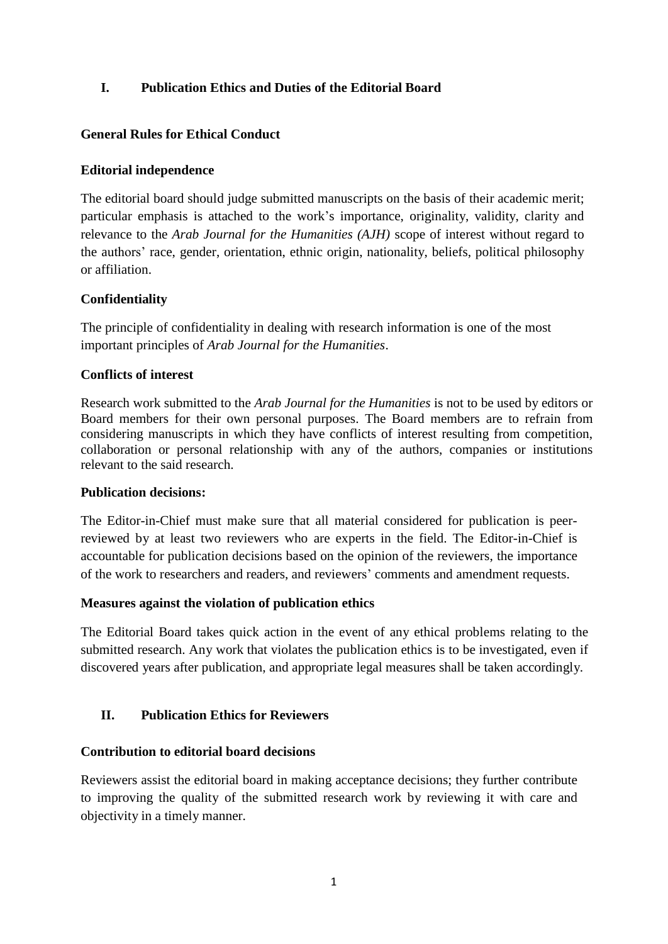## **I. Publication Ethics and Duties of the Editorial Board**

## **General Rules for Ethical Conduct**

## **Editorial independence**

The editorial board should judge submitted manuscripts on the basis of their academic merit; particular emphasis is attached to the work's importance, originality, validity, clarity and relevance to the *Arab Journal for the Humanities (AJH)* scope of interest without regard to the authors' race, gender, orientation, ethnic origin, nationality, beliefs, political philosophy or affiliation.

## **Confidentiality**

The principle of confidentiality in dealing with research information is one of the most important principles of *Arab Journal for the Humanities*.

## **Conflicts of interest**

Research work submitted to the *Arab Journal for the Humanities* is not to be used by editors or Board members for their own personal purposes. The Board members are to refrain from considering manuscripts in which they have conflicts of interest resulting from competition, collaboration or personal relationship with any of the authors, companies or institutions relevant to the said research.

### **Publication decisions:**

The Editor-in-Chief must make sure that all material considered for publication is peerreviewed by at least two reviewers who are experts in the field. The Editor-in-Chief is accountable for publication decisions based on the opinion of the reviewers, the importance of the work to researchers and readers, and reviewers' comments and amendment requests.

### **Measures against the violation of publication ethics**

The Editorial Board takes quick action in the event of any ethical problems relating to the submitted research. Any work that violates the publication ethics is to be investigated, even if discovered years after publication, and appropriate legal measures shall be taken accordingly.

## **II. Publication Ethics for Reviewers**

### **Contribution to editorial board decisions**

Reviewers assist the editorial board in making acceptance decisions; they further contribute to improving the quality of the submitted research work by reviewing it with care and objectivity in a timely manner.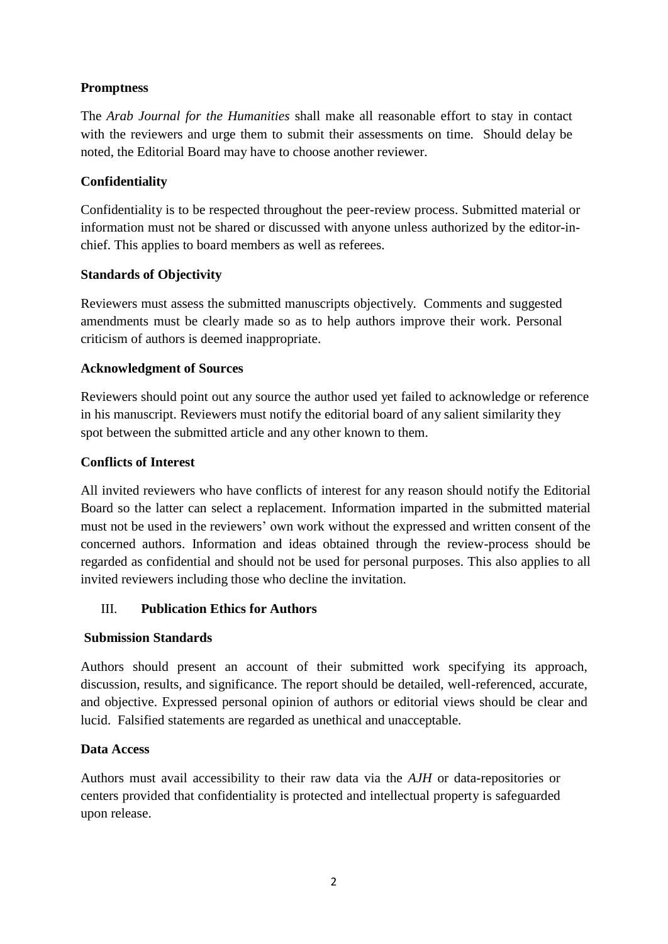## **Promptness**

The *Arab Journal for the Humanities* shall make all reasonable effort to stay in contact with the reviewers and urge them to submit their assessments on time. Should delay be noted, the Editorial Board may have to choose another reviewer.

# **Confidentiality**

Confidentiality is to be respected throughout the peer-review process. Submitted material or information must not be shared or discussed with anyone unless authorized by the editor-inchief. This applies to board members as well as referees.

# **Standards of Objectivity**

Reviewers must assess the submitted manuscripts objectively. Comments and suggested amendments must be clearly made so as to help authors improve their work. Personal criticism of authors is deemed inappropriate.

# **Acknowledgment of Sources**

Reviewers should point out any source the author used yet failed to acknowledge or reference in his manuscript. Reviewers must notify the editorial board of any salient similarity they spot between the submitted article and any other known to them.

# **Conflicts of Interest**

All invited reviewers who have conflicts of interest for any reason should notify the Editorial Board so the latter can select a replacement. Information imparted in the submitted material must not be used in the reviewers' own work without the expressed and written consent of the concerned authors. Information and ideas obtained through the review-process should be regarded as confidential and should not be used for personal purposes. This also applies to all invited reviewers including those who decline the invitation.

# III. **Publication Ethics for Authors**

## **Submission Standards**

Authors should present an account of their submitted work specifying its approach, discussion, results, and significance. The report should be detailed, well-referenced, accurate, and objective. Expressed personal opinion of authors or editorial views should be clear and lucid. Falsified statements are regarded as unethical and unacceptable.

## **Data Access**

Authors must avail accessibility to their raw data via the *AJH* or data-repositories or centers provided that confidentiality is protected and intellectual property is safeguarded upon release.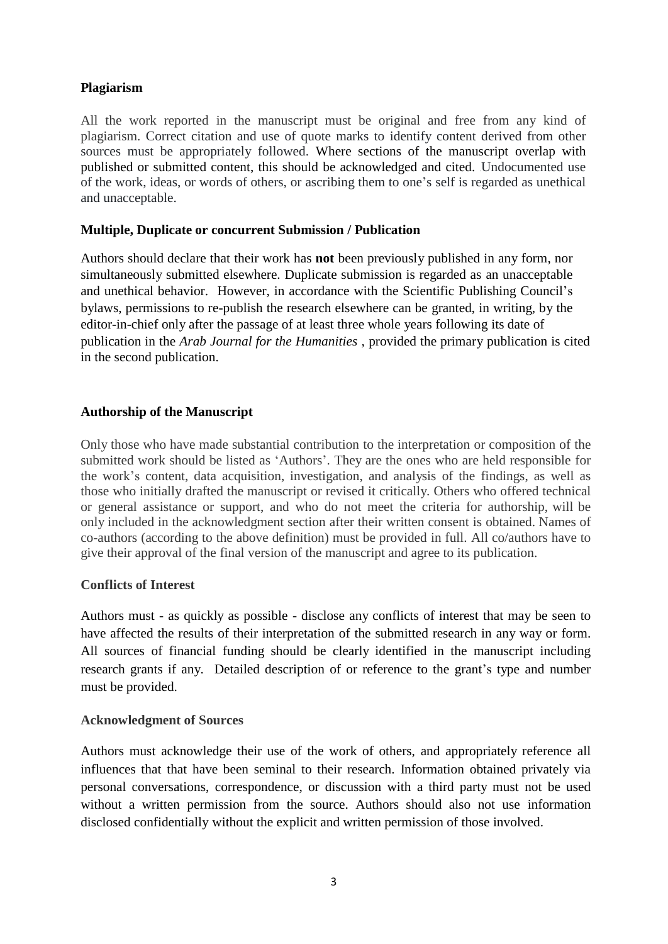### **Plagiarism**

All the work reported in the manuscript must be original and free from any kind of plagiarism. Correct citation and use of quote marks to identify content derived from other sources must be appropriately followed. Where sections of the manuscript overlap with published or submitted content, this should be acknowledged and cited. Undocumented use of the work, ideas, or words of others, or ascribing them to one's self is regarded as unethical and unacceptable.

### **Multiple, Duplicate or concurrent Submission / Publication**

Authors should declare that their work has **not** been previously published in any form, nor simultaneously submitted elsewhere. Duplicate submission is regarded as an unacceptable and unethical behavior. However, in accordance with the Scientific Publishing Council's bylaws, permissions to re-publish the research elsewhere can be granted, in writing, by the editor-in-chief only after the passage of at least three whole years following its date of publication in the *Arab Journal for the Humanities ,* provided the primary publication is cited in the second publication.

### **Authorship of the Manuscript**

Only those who have made substantial contribution to the interpretation or composition of the submitted work should be listed as 'Authors'. They are the ones who are held responsible for the work's content, data acquisition, investigation, and analysis of the findings, as well as those who initially drafted the manuscript or revised it critically. Others who offered technical or general assistance or support, and who do not meet the criteria for authorship, will be only included in the acknowledgment section after their written consent is obtained. Names of co-authors (according to the above definition) must be provided in full. All co/authors have to give their approval of the final version of the manuscript and agree to its publication.

### **Conflicts of Interest**

Authors must - as quickly as possible - disclose any conflicts of interest that may be seen to have affected the results of their interpretation of the submitted research in any way or form. All sources of financial funding should be clearly identified in the manuscript including research grants if any. Detailed description of or reference to the grant's type and number must be provided.

### **Acknowledgment of Sources**

Authors must acknowledge their use of the work of others, and appropriately reference all influences that that have been seminal to their research. Information obtained privately via personal conversations, correspondence, or discussion with a third party must not be used without a written permission from the source. Authors should also not use information disclosed confidentially without the explicit and written permission of those involved.